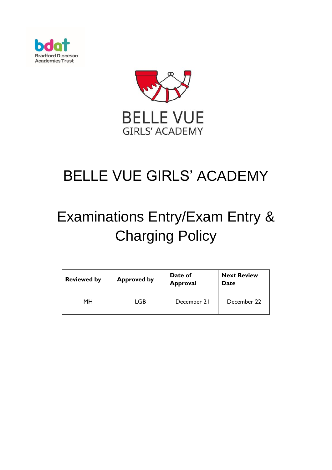



# BELLE VUE GIRLS' ACADEMY

# Examinations Entry/Exam Entry & Charging Policy

| <b>Reviewed by</b> | <b>Approved by</b> | Date of<br><b>Approval</b> | <b>Next Review</b><br>Date |
|--------------------|--------------------|----------------------------|----------------------------|
| MН                 | LGB                | December 21                | December 22                |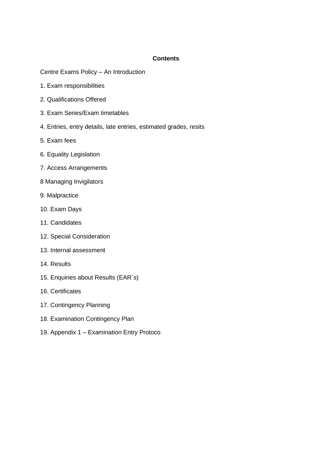#### **Contents**

Centre Exams Policy – An Introduction

- 1. Exam responsibilities
- 2. Qualifications Offered
- 3. Exam Series/Exam timetables
- 4. Entries, entry details, late entries, estimated grades, resits
- 5. Exam fees
- 6. Equality Legislation
- 7. Access Arrangements
- 8 Managing Invigilators
- 9. Malpractice
- 10. Exam Days
- 11. Candidates
- 12. Special Consideration
- 13. Internal assessment
- 14. Results
- 15. Enquiries about Results (EAR`s)
- 16. Certificates
- 17. Contingency Planning
- 18. Examination Contingency Plan
- 19. Appendix 1 Examination Entry Protoco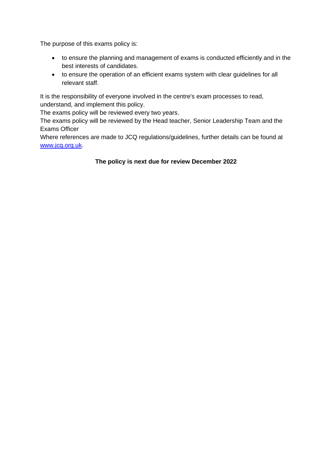The purpose of this exams policy is:

- to ensure the planning and management of exams is conducted efficiently and in the best interests of candidates.
- to ensure the operation of an efficient exams system with clear guidelines for all relevant staff.

It is the responsibility of everyone involved in the centre's exam processes to read, understand, and implement this policy.

The exams policy will be reviewed every two years.

The exams policy will be reviewed by the Head teacher, Senior Leadership Team and the Exams Officer

Where references are made to JCQ regulations/guidelines, further details can be found at [www.jcq.org.uk.](http://www.jcq.org.uk/)

# **The policy is next due for review December 2022**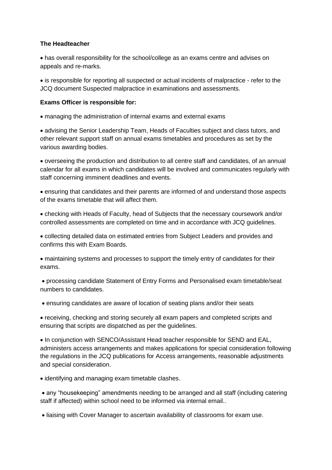#### **The Headteacher**

• has overall responsibility for the school/college as an exams centre and advises on appeals and re-marks.

• is responsible for reporting all suspected or actual incidents of malpractice - refer to the JCQ document Suspected malpractice in examinations and assessments.

# **Exams Officer is responsible for:**

• managing the administration of internal exams and external exams

• advising the Senior Leadership Team, Heads of Faculties subject and class tutors, and other relevant support staff on annual exams timetables and procedures as set by the various awarding bodies.

• overseeing the production and distribution to all centre staff and candidates, of an annual calendar for all exams in which candidates will be involved and communicates regularly with staff concerning imminent deadlines and events.

• ensuring that candidates and their parents are informed of and understand those aspects of the exams timetable that will affect them.

• checking with Heads of Faculty, head of Subjects that the necessary coursework and/or controlled assessments are completed on time and in accordance with JCQ guidelines.

• collecting detailed data on estimated entries from Subject Leaders and provides and confirms this with Exam Boards.

• maintaining systems and processes to support the timely entry of candidates for their exams.

• processing candidate Statement of Entry Forms and Personalised exam timetable/seat numbers to candidates.

• ensuring candidates are aware of location of seating plans and/or their seats

• receiving, checking and storing securely all exam papers and completed scripts and ensuring that scripts are dispatched as per the guidelines.

• In conjunction with SENCO/Assistant Head teacher responsible for SEND and EAL, administers access arrangements and makes applications for special consideration following the regulations in the JCQ publications for Access arrangements, reasonable adjustments and special consideration.

• identifying and managing exam timetable clashes.

• any "housekeeping" amendments needing to be arranged and all staff (including catering staff if affected) within school need to be informed via internal email..

• liaising with Cover Manager to ascertain availability of classrooms for exam use.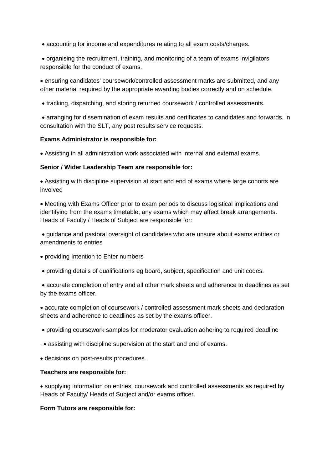• accounting for income and expenditures relating to all exam costs/charges.

• organising the recruitment, training, and monitoring of a team of exams invigilators responsible for the conduct of exams.

• ensuring candidates' coursework/controlled assessment marks are submitted, and any other material required by the appropriate awarding bodies correctly and on schedule.

• tracking, dispatching, and storing returned coursework / controlled assessments.

• arranging for dissemination of exam results and certificates to candidates and forwards, in consultation with the SLT, any post results service requests.

#### **Exams Administrator is responsible for:**

• Assisting in all administration work associated with internal and external exams.

#### **Senior / Wider Leadership Team are responsible for:**

• Assisting with discipline supervision at start and end of exams where large cohorts are involved

• Meeting with Exams Officer prior to exam periods to discuss logistical implications and identifying from the exams timetable, any exams which may affect break arrangements. Heads of Faculty / Heads of Subject are responsible for:

• guidance and pastoral oversight of candidates who are unsure about exams entries or amendments to entries

- providing Intention to Enter numbers
- providing details of qualifications eg board, subject, specification and unit codes.

• accurate completion of entry and all other mark sheets and adherence to deadlines as set by the exams officer.

• accurate completion of coursework / controlled assessment mark sheets and declaration sheets and adherence to deadlines as set by the exams officer.

- providing coursework samples for moderator evaluation adhering to required deadline
- . assisting with discipline supervision at the start and end of exams.
- decisions on post-results procedures.

#### **Teachers are responsible for:**

• supplying information on entries, coursework and controlled assessments as required by Heads of Faculty/ Heads of Subject and/or exams officer.

#### **Form Tutors are responsible for:**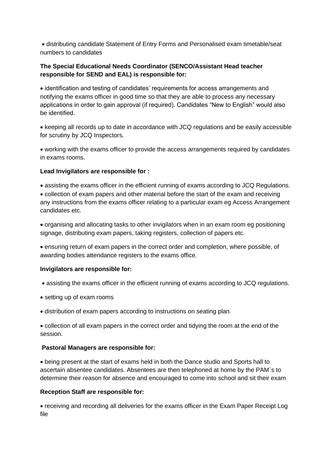• distributing candidate Statement of Entry Forms and Personalised exam timetable/seat numbers to candidates

# **The Special Educational Needs Coordinator (SENCO/Assistant Head teacher responsible for SEND and EAL) is responsible for:**

• identification and testing of candidates' requirements for access arrangements and notifying the exams officer in good time so that they are able to process any necessary applications in order to gain approval (if required). Candidates "New to English" would also be identified.

• keeping all records up to date in accordance with JCQ regulations and be easily accessible for scrutiny by JCQ Inspectors.

• working with the exams officer to provide the access arrangements required by candidates in exams rooms.

# **Lead Invigilators are responsible for :**

• assisting the exams officer in the efficient running of exams according to JCQ Regulations. • collection of exam papers and other material before the start of the exam and receiving any instructions from the exams officer relating to a particular exam eg Access Arrangement candidates etc.

• organising and allocating tasks to other invigilators when in an exam room eg positioning signage, distributing exam papers, taking registers, collection of papers etc.

• ensuring return of exam papers in the correct order and completion, where possible, of awarding bodies attendance registers to the exams office.

#### **Invigilators are responsible for:**

- assisting the exams officer in the efficient running of exams according to JCQ regulations.
- setting up of exam rooms
- distribution of exam papers according to instructions on seating plan.

• collection of all exam papers in the correct order and tidying the room at the end of the session.

#### **Pastoral Managers are responsible for:**

• being present at the start of exams held in both the Dance studio and Sports hall to ascertain absentee candidates. Absentees are then telephoned at home by the PAM`s to determine their reason for absence and encouraged to come into school and sit their exam

# **Reception Staff are responsible for:**

• receiving and recording all deliveries for the exams officer in the Exam Paper Receipt Log file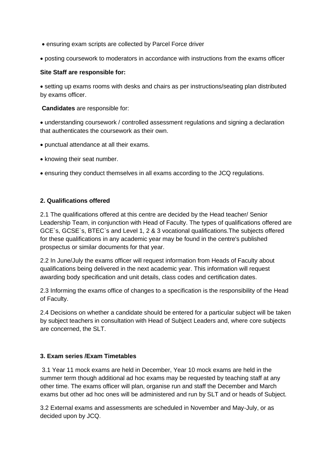- ensuring exam scripts are collected by Parcel Force driver
- posting coursework to moderators in accordance with instructions from the exams officer

#### **Site Staff are responsible for:**

• setting up exams rooms with desks and chairs as per instructions/seating plan distributed by exams officer.

**Candidates** are responsible for:

• understanding coursework / controlled assessment regulations and signing a declaration that authenticates the coursework as their own.

- punctual attendance at all their exams.
- knowing their seat number.
- ensuring they conduct themselves in all exams according to the JCQ regulations.

# **2. Qualifications offered**

2.1 The qualifications offered at this centre are decided by the Head teacher/ Senior Leadership Team, in conjunction with Head of Faculty. The types of qualifications offered are GCE`s, GCSE`s, BTEC`s and Level 1, 2 & 3 vocational qualifications.The subjects offered for these qualifications in any academic year may be found in the centre's published prospectus or similar documents for that year.

2.2 In June/July the exams officer will request information from Heads of Faculty about qualifications being delivered in the next academic year. This information will request awarding body specification and unit details, class codes and certification dates.

2.3 Informing the exams office of changes to a specification is the responsibility of the Head of Faculty.

2.4 Decisions on whether a candidate should be entered for a particular subject will be taken by subject teachers in consultation with Head of Subject Leaders and, where core subjects are concerned, the SLT.

#### **3. Exam series /Exam Timetables**

3.1 Year 11 mock exams are held in December, Year 10 mock exams are held in the summer term though additional ad hoc exams may be requested by teaching staff at any other time. The exams officer will plan, organise run and staff the December and March exams but other ad hoc ones will be administered and run by SLT and or heads of Subject.

3.2 External exams and assessments are scheduled in November and May-July, or as decided upon by JCQ.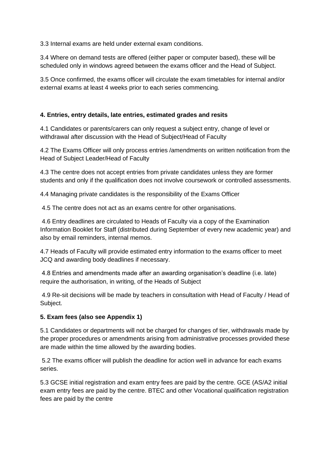3.3 Internal exams are held under external exam conditions.

3.4 Where on demand tests are offered (either paper or computer based), these will be scheduled only in windows agreed between the exams officer and the Head of Subject.

3.5 Once confirmed, the exams officer will circulate the exam timetables for internal and/or external exams at least 4 weeks prior to each series commencing.

# **4. Entries, entry details, late entries, estimated grades and resits**

4.1 Candidates or parents/carers can only request a subject entry, change of level or withdrawal after discussion with the Head of Subject/Head of Faculty

4.2 The Exams Officer will only process entries /amendments on written notification from the Head of Subject Leader/Head of Faculty

4.3 The centre does not accept entries from private candidates unless they are former students and only if the qualification does not involve coursework or controlled assessments.

4.4 Managing private candidates is the responsibility of the Exams Officer

4.5 The centre does not act as an exams centre for other organisations.

4.6 Entry deadlines are circulated to Heads of Faculty via a copy of the Examination Information Booklet for Staff (distributed during September of every new academic year) and also by email reminders, internal memos.

4.7 Heads of Faculty will provide estimated entry information to the exams officer to meet JCQ and awarding body deadlines if necessary.

4.8 Entries and amendments made after an awarding organisation's deadline (i.e. late) require the authorisation, in writing, of the Heads of Subject

4.9 Re-sit decisions will be made by teachers in consultation with Head of Faculty / Head of Subject.

#### **5. Exam fees (also see Appendix 1)**

5.1 Candidates or departments will not be charged for changes of tier, withdrawals made by the proper procedures or amendments arising from administrative processes provided these are made within the time allowed by the awarding bodies.

5.2 The exams officer will publish the deadline for action well in advance for each exams series.

5.3 GCSE initial registration and exam entry fees are paid by the centre. GCE (AS/A2 initial exam entry fees are paid by the centre. BTEC and other Vocational qualification registration fees are paid by the centre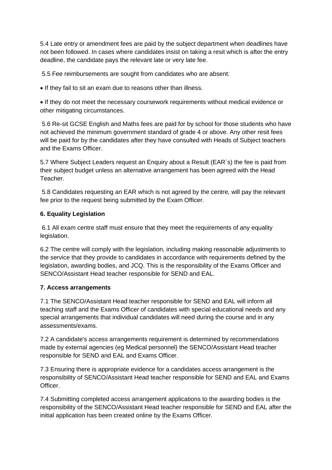5.4 Late entry or amendment fees are paid by the subject department when deadlines have not been followed. In cases where candidates insist on taking a resit which is after the entry deadline, the candidate pays the relevant late or very late fee.

5.5 Fee reimbursements are sought from candidates who are absent:

• If they fail to sit an exam due to reasons other than illness.

• If they do not meet the necessary coursework requirements without medical evidence or other mitigating circumstances.

5.6 Re-sit GCSE English and Maths fees are paid for by school for those students who have not achieved the minimum government standard of grade 4 or above. Any other resit fees will be paid for by the candidates after they have consulted with Heads of Subject teachers and the Exams Officer.

5.7 Where Subject Leaders request an Enquiry about a Result (EAR`s) the fee is paid from their subject budget unless an alternative arrangement has been agreed with the Head Teacher.

5.8 Candidates requesting an EAR which is not agreed by the centre, will pay the relevant fee prior to the request being submitted by the Exam Officer.

# **6. Equality Legislation**

6.1 All exam centre staff must ensure that they meet the requirements of any equality legislation.

6.2 The centre will comply with the legislation, including making reasonable adjustments to the service that they provide to candidates in accordance with requirements defined by the legislation, awarding bodies, and JCQ. This is the responsibility of the Exams Officer and SENCO/Assistant Head teacher responsible for SEND and EAL.

# **7. Access arrangements**

7.1 The SENCO/Assistant Head teacher responsible for SEND and EAL will inform all teaching staff and the Exams Officer of candidates with special educational needs and any special arrangements that individual candidates will need during the course and in any assessments/exams.

7.2 A candidate's access arrangements requirement is determined by recommendations made by external agencies (eg Medical personnel) the SENCO/Assistant Head teacher responsible for SEND and EAL and Exams Officer.

7.3 Ensuring there is appropriate evidence for a candidates access arrangement is the responsibility of SENCO/Assistant Head teacher responsible for SEND and EAL and Exams **Officer** 

7.4 Submitting completed access arrangement applications to the awarding bodies is the responsibility of the SENCO/Assistant Head teacher responsible for SEND and EAL after the initial application has been created online by the Exams Officer.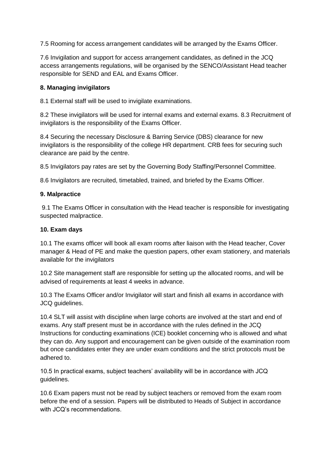7.5 Rooming for access arrangement candidates will be arranged by the Exams Officer.

7.6 Invigilation and support for access arrangement candidates, as defined in the JCQ access arrangements regulations, will be organised by the SENCO/Assistant Head teacher responsible for SEND and EAL and Exams Officer.

#### **8. Managing invigilators**

8.1 External staff will be used to invigilate examinations.

8.2 These invigilators will be used for internal exams and external exams. 8.3 Recruitment of invigilators is the responsibility of the Exams Officer.

8.4 Securing the necessary Disclosure & Barring Service (DBS) clearance for new invigilators is the responsibility of the college HR department. CRB fees for securing such clearance are paid by the centre.

8.5 Invigilators pay rates are set by the Governing Body Staffing/Personnel Committee.

8.6 Invigilators are recruited, timetabled, trained, and briefed by the Exams Officer.

#### **9. Malpractice**

9.1 The Exams Officer in consultation with the Head teacher is responsible for investigating suspected malpractice.

# **10. Exam days**

10.1 The exams officer will book all exam rooms after liaison with the Head teacher, Cover manager & Head of PE and make the question papers, other exam stationery, and materials available for the invigilators

10.2 Site management staff are responsible for setting up the allocated rooms, and will be advised of requirements at least 4 weeks in advance.

10.3 The Exams Officer and/or Invigilator will start and finish all exams in accordance with JCQ guidelines.

10.4 SLT will assist with discipline when large cohorts are involved at the start and end of exams. Any staff present must be in accordance with the rules defined in the JCQ Instructions for conducting examinations (ICE) booklet concerning who is allowed and what they can do. Any support and encouragement can be given outside of the examination room but once candidates enter they are under exam conditions and the strict protocols must be adhered to.

10.5 In practical exams, subject teachers' availability will be in accordance with JCQ guidelines.

10.6 Exam papers must not be read by subject teachers or removed from the exam room before the end of a session. Papers will be distributed to Heads of Subject in accordance with JCQ's recommendations.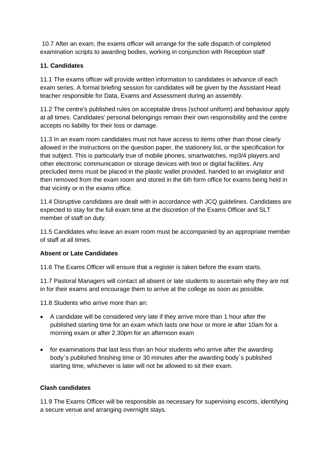10.7 After an exam, the exams officer will arrange for the safe dispatch of completed examination scripts to awarding bodies, working in conjunction with Reception staff

# **11. Candidates**

11.1 The exams officer will provide written information to candidates in advance of each exam series. A formal briefing session for candidates will be given by the Assistant Head teacher responsible for Data, Exams and Assessment during an assembly.

11.2 The centre's published rules on acceptable dress (school uniform) and behaviour apply at all times. Candidates' personal belongings remain their own responsibility and the centre accepts no liability for their loss or damage.

11.3 In an exam room candidates must not have access to items other than those clearly allowed in the instructions on the question paper, the stationery list, or the specification for that subject. This is particularly true of mobile phones, smartwatches, mp3/4 players and other electronic communication or storage devices with text or digital facilities. Any precluded items must be placed in the plastic wallet provided, handed to an invigilator and then removed from the exam room and stored in the 6th form office for exams being held in that vicinity or in the exams office.

11.4 Disruptive candidates are dealt with in accordance with JCQ guidelines. Candidates are expected to stay for the full exam time at the discretion of the Exams Officer and SLT member of staff on duty.

11.5 Candidates who leave an exam room must be accompanied by an appropriate member of staff at all times.

# **Absent or Late Candidates**

11.6 The Exams Officer will ensure that a register is taken before the exam starts.

11.7 Pastoral Managers will contact all absent or late students to ascertain why they are not in for their exams and encourage them to arrive at the college as soon as possible.

11.8 Students who arrive more than an:

- A candidate will be considered very late if they arrive more than 1 hour after the published starting time for an exam which lasts one hour or more ie after 10am for a morning exam or after 2.30pm for an afternoon exam
- for examinations that last less than an hour students who arrive after the awarding body`s published finishing time or 30 minutes after the awarding body`s published starting time, whichever is later will not be allowed to sit their exam.

# **Clash candidates**

11.9 The Exams Officer will be responsible as necessary for supervising escorts, identifying a secure venue and arranging overnight stays.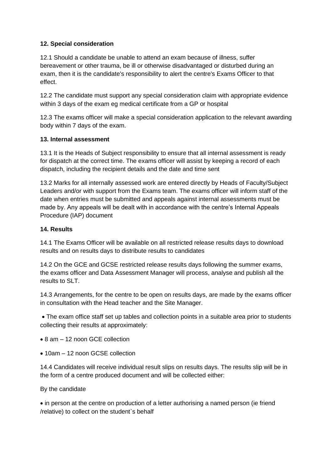# **12. Special consideration**

12.1 Should a candidate be unable to attend an exam because of illness, suffer bereavement or other trauma, be ill or otherwise disadvantaged or disturbed during an exam, then it is the candidate's responsibility to alert the centre's Exams Officer to that effect.

12.2 The candidate must support any special consideration claim with appropriate evidence within 3 days of the exam eg medical certificate from a GP or hospital

12.3 The exams officer will make a special consideration application to the relevant awarding body within 7 days of the exam.

#### **13. Internal assessment**

13.1 It is the Heads of Subject responsibility to ensure that all internal assessment is ready for dispatch at the correct time. The exams officer will assist by keeping a record of each dispatch, including the recipient details and the date and time sent

13.2 Marks for all internally assessed work are entered directly by Heads of Faculty/Subject Leaders and/or with support from the Exams team. The exams officer will inform staff of the date when entries must be submitted and appeals against internal assessments must be made by. Any appeals will be dealt with in accordance with the centre's Internal Appeals Procedure (IAP) document

# **14. Results**

14.1 The Exams Officer will be available on all restricted release results days to download results and on results days to distribute results to candidates

14.2 On the GCE and GCSE restricted release results days following the summer exams, the exams officer and Data Assessment Manager will process, analyse and publish all the results to SLT.

14.3 Arrangements, for the centre to be open on results days, are made by the exams officer in consultation with the Head teacher and the Site Manager.

• The exam office staff set up tables and collection points in a suitable area prior to students collecting their results at approximately:

- 8 am 12 noon GCE collection
- 10am 12 noon GCSE collection

14.4 Candidates will receive individual result slips on results days. The results slip will be in the form of a centre produced document and will be collected either:

By the candidate

• in person at the centre on production of a letter authorising a named person (ie friend /relative) to collect on the student`s behalf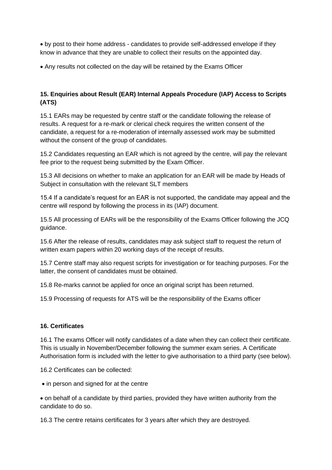• by post to their home address - candidates to provide self-addressed envelope if they know in advance that they are unable to collect their results on the appointed day.

• Any results not collected on the day will be retained by the Exams Officer

# **15. Enquiries about Result (EAR) Internal Appeals Procedure (IAP) Access to Scripts (ATS)**

15.1 EARs may be requested by centre staff or the candidate following the release of results. A request for a re-mark or clerical check requires the written consent of the candidate, a request for a re-moderation of internally assessed work may be submitted without the consent of the group of candidates.

15.2 Candidates requesting an EAR which is not agreed by the centre, will pay the relevant fee prior to the request being submitted by the Exam Officer.

15.3 All decisions on whether to make an application for an EAR will be made by Heads of Subject in consultation with the relevant SLT members

15.4 If a candidate's request for an EAR is not supported, the candidate may appeal and the centre will respond by following the process in its (IAP) document.

15.5 All processing of EARs will be the responsibility of the Exams Officer following the JCQ guidance.

15.6 After the release of results, candidates may ask subject staff to request the return of written exam papers within 20 working days of the receipt of results.

15.7 Centre staff may also request scripts for investigation or for teaching purposes. For the latter, the consent of candidates must be obtained.

15.8 Re-marks cannot be applied for once an original script has been returned.

15.9 Processing of requests for ATS will be the responsibility of the Exams officer

#### **16. Certificates**

16.1 The exams Officer will notify candidates of a date when they can collect their certificate. This is usually in November/December following the summer exam series. A Certificate Authorisation form is included with the letter to give authorisation to a third party (see below).

16.2 Certificates can be collected:

• in person and signed for at the centre

• on behalf of a candidate by third parties, provided they have written authority from the candidate to do so.

16.3 The centre retains certificates for 3 years after which they are destroyed.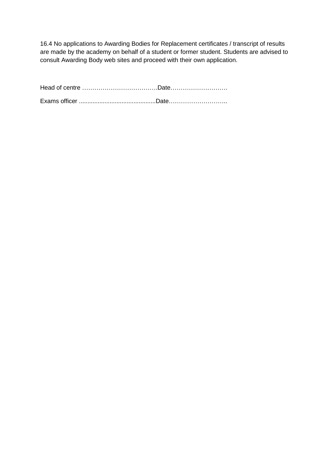16.4 No applications to Awarding Bodies for Replacement certificates / transcript of results are made by the academy on behalf of a student or former student. Students are advised to consult Awarding Body web sites and proceed with their own application.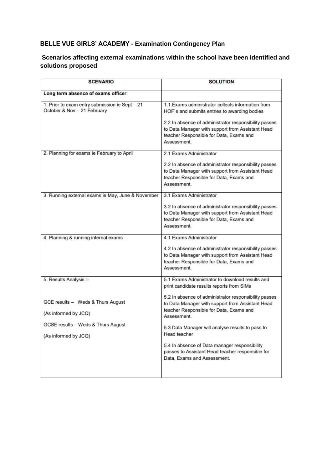# **BELLE VUE GIRLS' ACADEMY - Examination Contingency Plan**

# **Scenarios affecting external examinations within the school have been identified and solutions proposed**

| <b>SCENARIO</b>                                                               | <b>SOLUTION</b>                                                                                                                                                     |  |
|-------------------------------------------------------------------------------|---------------------------------------------------------------------------------------------------------------------------------------------------------------------|--|
| Long term absence of exams officer:                                           |                                                                                                                                                                     |  |
| 1. Prior to exam entry submission ie Sept - 21<br>October & Nov - 21 February | 1.1. Exams administrator collects information from<br>HOF's and submits entries to awarding bodies                                                                  |  |
|                                                                               | 2.2 In absence of administrator responsibility passes<br>to Data Manager with support from Assistant Head<br>teacher Responsible for Data, Exams and<br>Assessment. |  |
| 2. Planning for exams ie February to April                                    | 2.1 Exams Administrator                                                                                                                                             |  |
|                                                                               | 2.2 In absence of administrator responsibility passes<br>to Data Manager with support from Assistant Head<br>teacher Responsible for Data, Exams and<br>Assessment. |  |
| 3. Running external exams ie May, June & November                             | 3.1 Exams Administrator                                                                                                                                             |  |
|                                                                               | 3.2 In absence of administrator responsibility passes<br>to Data Manager with support from Assistant Head<br>teacher Responsible for Data, Exams and<br>Assessment. |  |
| 4. Planning & running internal exams                                          | 4.1 Exams Administrator                                                                                                                                             |  |
|                                                                               | 4.2 In absence of administrator responsibility passes<br>to Data Manager with support from Assistant Head<br>teacher Responsible for Data, Exams and<br>Assessment. |  |
| 5. Results Analysis :-                                                        | 5.1 Exams Administrator to download results and<br>print candidate results reports from SIMs                                                                        |  |
| GCE results - Weds & Thurs August                                             | 5.2 In absence of administrator responsibility passes<br>to Data Manager with support from Assistant Head<br>teacher Responsible for Data, Exams and                |  |
| (As informed by JCQ)                                                          | Assessment.                                                                                                                                                         |  |
| GCSE results - Weds & Thurs August                                            | 5.3 Data Manager will analyse results to pass to                                                                                                                    |  |
| (As informed by JCQ)                                                          | <b>Head teacher</b>                                                                                                                                                 |  |
|                                                                               | 5.4 In absence of Data manager responsibility<br>passes to Assistant Head teacher responsible for<br>Data, Exams and Assessment.                                    |  |
|                                                                               |                                                                                                                                                                     |  |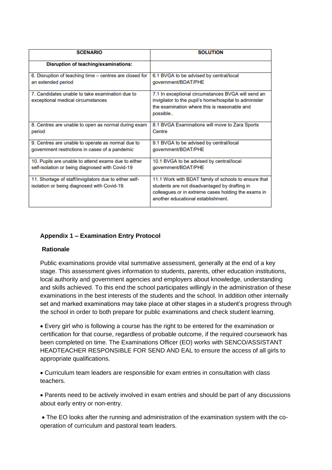| <b>SCENARIO</b>                                                                                       | <b>SOLUTION</b>                                                                                                                                                                                    |
|-------------------------------------------------------------------------------------------------------|----------------------------------------------------------------------------------------------------------------------------------------------------------------------------------------------------|
| Disruption of teaching/examinations:                                                                  |                                                                                                                                                                                                    |
| 6. Disruption of teaching time - centres are closed for                                               | 6.1 BVGA to be advised by central/local                                                                                                                                                            |
| an extended period                                                                                    | government/BDAT/PHE                                                                                                                                                                                |
| 7. Candidates unable to take examination due to<br>exceptional medical circumstances                  | 7.1 In exceptional circumstances BVGA will send an<br>invigilator to the pupil's home/hospital to administer<br>the examination where this is reasonable and<br>possible                           |
| 8. Centres are unable to open as normal during exam                                                   | 8.1 BVGA Examinations will move to Zara Sports                                                                                                                                                     |
| period                                                                                                | Centre                                                                                                                                                                                             |
| 9. Centres are unable to operate as normal due to                                                     | 9.1 BVGA to be advised by central/local                                                                                                                                                            |
| government restrictions in cases of a pandemic                                                        | government/BDAT/PHE                                                                                                                                                                                |
| 10. Pupils are unable to attend exams due to either                                                   | 10.1 BVGA to be advised by central/local                                                                                                                                                           |
| self-isolation or being diagnosed with Covid-19                                                       | government/BDAT/PHE                                                                                                                                                                                |
| 11. Shortage of staff/invigilators due to either self-<br>isolation or being diagnosed with Covid-19. | 11.1 Work with BDAT family of schools to ensure that<br>students are not disadvantaged by drafting in<br>colleagues or in extreme cases holding the exams in<br>another educational establishment. |

# **Appendix 1 – Examination Entry Protocol**

#### **Rationale**

Public examinations provide vital summative assessment, generally at the end of a key stage. This assessment gives information to students, parents, other education institutions, local authority and government agencies and employers about knowledge, understanding and skills achieved. To this end the school participates willingly in the administration of these examinations in the best interests of the students and the school. In addition other internally set and marked examinations may take place at other stages in a student's progress through the school in order to both prepare for public examinations and check student learning.

• Every girl who is following a course has the right to be entered for the examination or certification for that course, regardless of probable outcome, if the required coursework has been completed on time. The Examinations Officer (EO) works with SENCO/ASSISTANT HEADTEACHER RESPONSIBLE FOR SEND AND EAL to ensure the access of all girls to appropriate qualifications.

• Curriculum team leaders are responsible for exam entries in consultation with class teachers.

• Parents need to be actively involved in exam entries and should be part of any discussions about early entry or non-entry.

• The EO looks after the running and administration of the examination system with the cooperation of curriculum and pastoral team leaders.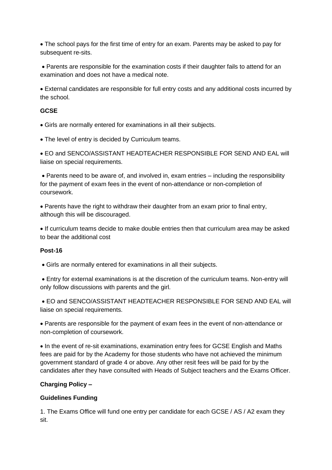• The school pays for the first time of entry for an exam. Parents may be asked to pay for subsequent re-sits.

• Parents are responsible for the examination costs if their daughter fails to attend for an examination and does not have a medical note.

• External candidates are responsible for full entry costs and any additional costs incurred by the school.

# **GCSE**

• Girls are normally entered for examinations in all their subjects.

• The level of entry is decided by Curriculum teams.

• EO and SENCO/ASSISTANT HEADTEACHER RESPONSIBLE FOR SEND AND EAL will liaise on special requirements.

• Parents need to be aware of, and involved in, exam entries – including the responsibility for the payment of exam fees in the event of non-attendance or non-completion of coursework.

• Parents have the right to withdraw their daughter from an exam prior to final entry, although this will be discouraged.

• If curriculum teams decide to make double entries then that curriculum area may be asked to bear the additional cost

# **Post-16**

• Girls are normally entered for examinations in all their subjects.

• Entry for external examinations is at the discretion of the curriculum teams. Non-entry will only follow discussions with parents and the girl.

• EO and SENCO/ASSISTANT HEADTEACHER RESPONSIBLE FOR SEND AND EAL will liaise on special requirements.

• Parents are responsible for the payment of exam fees in the event of non-attendance or non-completion of coursework.

• In the event of re-sit examinations, examination entry fees for GCSE English and Maths fees are paid for by the Academy for those students who have not achieved the minimum government standard of grade 4 or above. Any other resit fees will be paid for by the candidates after they have consulted with Heads of Subject teachers and the Exams Officer.

# **Charging Policy –**

# **Guidelines Funding**

1. The Exams Office will fund one entry per candidate for each GCSE / AS / A2 exam they sit.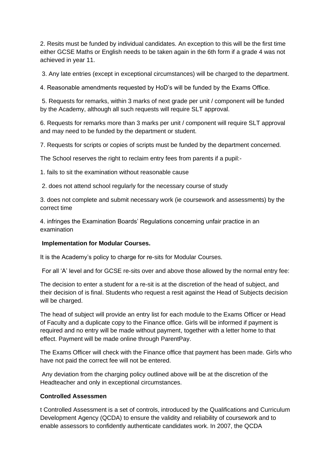2. Resits must be funded by individual candidates. An exception to this will be the first time either GCSE Maths or English needs to be taken again in the 6th form if a grade 4 was not achieved in year 11.

3. Any late entries (except in exceptional circumstances) will be charged to the department.

4. Reasonable amendments requested by HoD's will be funded by the Exams Office.

5. Requests for remarks, within 3 marks of next grade per unit / component will be funded by the Academy, although all such requests will require SLT approval.

6. Requests for remarks more than 3 marks per unit / component will require SLT approval and may need to be funded by the department or student.

7. Requests for scripts or copies of scripts must be funded by the department concerned.

The School reserves the right to reclaim entry fees from parents if a pupil:-

1. fails to sit the examination without reasonable cause

2. does not attend school regularly for the necessary course of study

3. does not complete and submit necessary work (ie coursework and assessments) by the correct time

4. infringes the Examination Boards' Regulations concerning unfair practice in an examination

# **Implementation for Modular Courses.**

It is the Academy's policy to charge for re-sits for Modular Courses.

For all 'A' level and for GCSE re-sits over and above those allowed by the normal entry fee:

The decision to enter a student for a re-sit is at the discretion of the head of subject, and their decision of is final. Students who request a resit against the Head of Subjects decision will be charged.

The head of subject will provide an entry list for each module to the Exams Officer or Head of Faculty and a duplicate copy to the Finance office. Girls will be informed if payment is required and no entry will be made without payment, together with a letter home to that effect. Payment will be made online through ParentPay.

The Exams Officer will check with the Finance office that payment has been made. Girls who have not paid the correct fee will not be entered.

Any deviation from the charging policy outlined above will be at the discretion of the Headteacher and only in exceptional circumstances.

# **Controlled Assessmen**

t Controlled Assessment is a set of controls, introduced by the Qualifications and Curriculum Development Agency (QCDA) to ensure the validity and reliability of coursework and to enable assessors to confidently authenticate candidates work. In 2007, the QCDA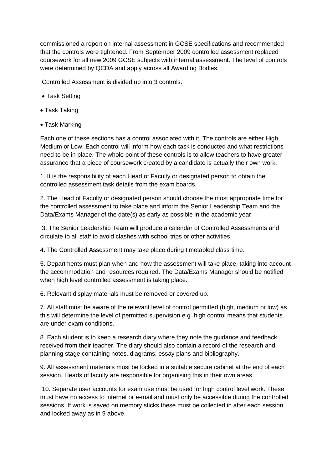commissioned a report on internal assessment in GCSE specifications and recommended that the controls were tightened. From September 2009 controlled assessment replaced coursework for all new 2009 GCSE subjects with internal assessment. The level of controls were determined by QCDA and apply across all Awarding Bodies.

Controlled Assessment is divided up into 3 controls.

- Task Setting
- Task Taking
- Task Marking

Each one of these sections has a control associated with it. The controls are either High, Medium or Low. Each control will inform how each task is conducted and what restrictions need to be in place. The whole point of these controls is to allow teachers to have greater assurance that a piece of coursework created by a candidate is actually their own work.

1. It is the responsibility of each Head of Faculty or designated person to obtain the controlled assessment task details from the exam boards.

2. The Head of Faculty or designated person should choose the most appropriate time for the controlled assessment to take place and inform the Senior Leadership Team and the Data/Exams Manager of the date(s) as early as possible in the academic year.

3. The Senior Leadership Team will produce a calendar of Controlled Assessments and circulate to all staff to avoid clashes with school trips or other activities.

4. The Controlled Assessment may take place during timetabled class time.

5. Departments must plan when and how the assessment will take place, taking into account the accommodation and resources required. The Data/Exams Manager should be notified when high level controlled assessment is taking place.

6. Relevant display materials must be removed or covered up.

7. All staff must be aware of the relevant level of control permitted (high, medium or low) as this will determine the level of permitted supervision e.g. high control means that students are under exam conditions.

8. Each student is to keep a research diary where they note the guidance and feedback received from their teacher. The diary should also contain a record of the research and planning stage containing notes, diagrams, essay plans and bibliography.

9. All assessment materials must be locked in a suitable secure cabinet at the end of each session. Heads of faculty are responsible for organising this in their own areas.

10. Separate user accounts for exam use must be used for high control level work. These must have no access to internet or e-mail and must only be accessible during the controlled sessions. If work is saved on memory sticks these must be collected in after each session and locked away as in 9 above.